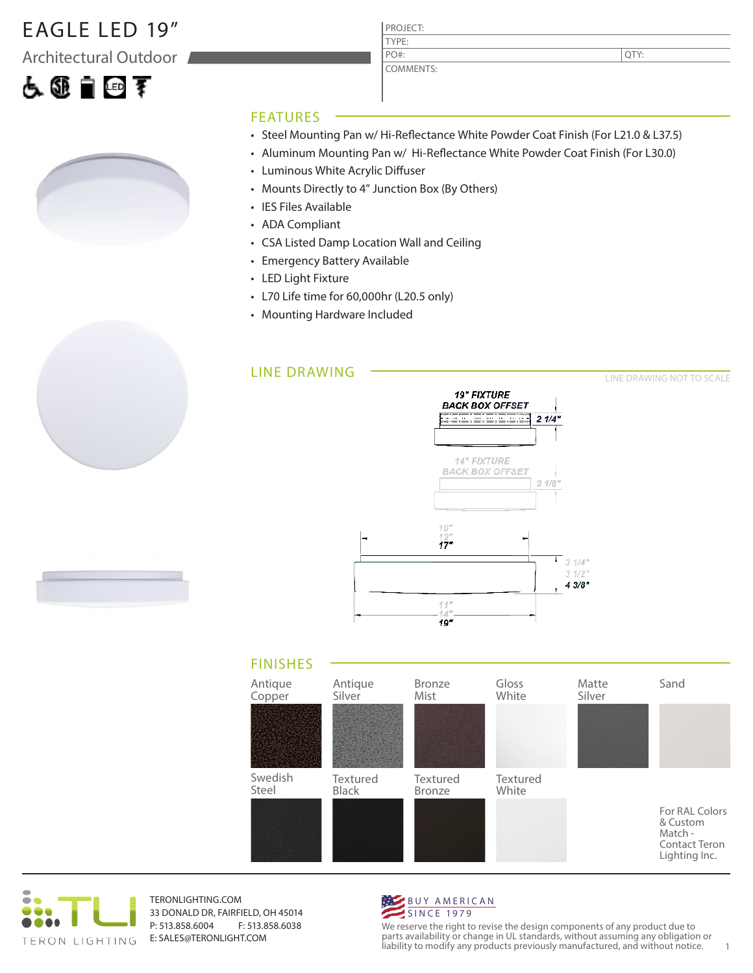### EAGLE LED 19"

Architectural Outdoor

# 占领自回军



### PROJECT: COMMENTS:

QTY:

LINE DRAWING NOT TO SCALE

#### FEATURES

- Steel Mounting Pan w/ Hi-Reflectance White Powder Coat Finish (For L21.0 & L37.5)
- Aluminum Mounting Pan w/ Hi-Reflectance White Powder Coat Finish (For L30.0)
- Luminous White Acrylic Diffuser
- Mounts Directly to 4" Junction Box (By Others)

TYPE:

PO#:

- IES Files Available
- ADA Compliant
- CSA Listed Damp Location Wall and Ceiling
- Emergency Battery Available
- LED Light Fixture
- L70 Life time for 60,000hr (L20.5 only)
- Mounting Hardware Included

#### LINE DRAWING







TERONLIGHTING.COM 33 DONALD DR, FAIRFIELD, OH 45014 P: 513.858.6004 F: 513.858.6038 E: SALES@TERONLIGHT.COM



We reserve the right to revise the design components of any product due to parts availability or change in UL standards, without assuming any obligation or liability to modify any products previously manufactured, and without notice. 1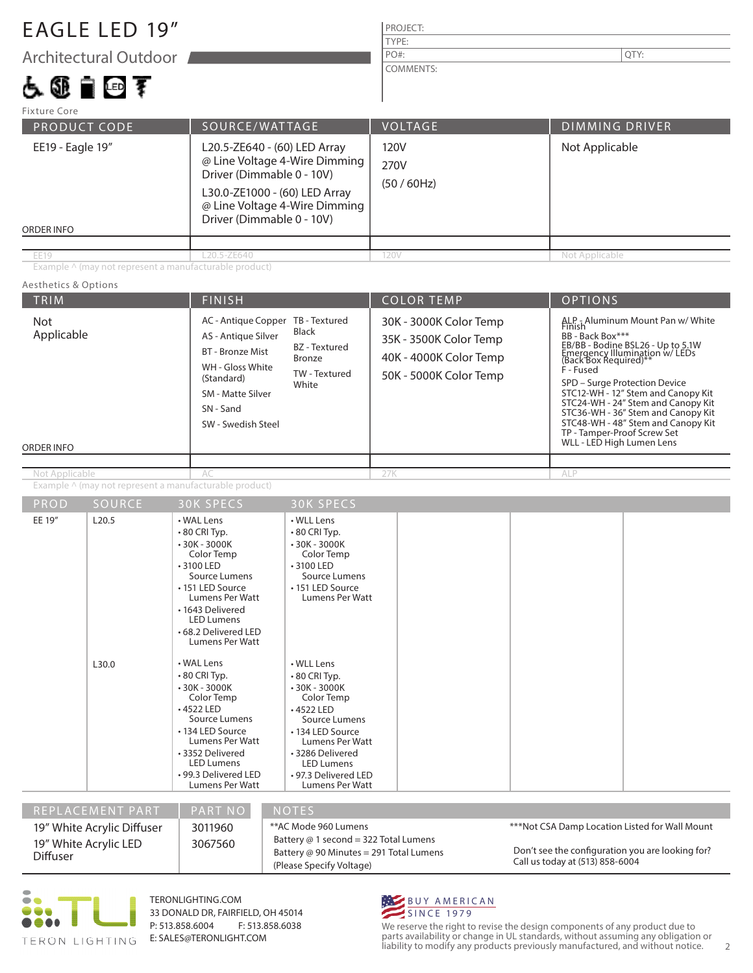### EAGLE LED 19"

Architectural Outdoor

占领自由手

### PROJECT: PO#:  $\vert$  QTY:

COMMENTS:

TYPE:

| <b>Fixture Core</b>                                                                                                                                                                                                                |                |                           |                       |  |
|------------------------------------------------------------------------------------------------------------------------------------------------------------------------------------------------------------------------------------|----------------|---------------------------|-----------------------|--|
| <b>PRODUCT CODE</b>                                                                                                                                                                                                                | SOURCE/WATTAGE | <b>VOLTAGE</b>            | <b>DIMMING DRIVER</b> |  |
| EE19 - Eagle 19"<br>L20.5-ZE640 - (60) LED Array<br>@ Line Voltage 4-Wire Dimming<br>Driver (Dimmable 0 - 10V)<br>L30.0-ZE1000 - (60) LED Array<br>@ Line Voltage 4-Wire Dimming<br>Driver (Dimmable 0 - 10V)<br><b>ORDER INFO</b> |                | 120V<br>270V<br>(50/60Hz) | Not Applicable        |  |
|                                                                                                                                                                                                                                    |                |                           |                       |  |
| <b>EE19</b>                                                                                                                                                                                                                        | L20.5-ZE640    | 120V                      | Not Applicable        |  |

Example ^ (may not represent a manufacturable product)

#### TRIM  $\vert$  Finish  $\vert$  Color Temp  $\vert$  Options ORDER INFO Aesthetics & Options PROD SOURCE Example ^ (may not represent a manufacturable product) 30K SPECS 30K SPECS EE 19" L20.5 L30.0 • WAL Lens • 80 CRI Typ. • 30K - 3000K Color Temp • 3100 LED Source Lumens • 151 LED Source Lumens Per Watt • 1643 Delivered LED Lumens • 68.2 Delivered LED Lumens Per Watt • WAL Lens • 80 CRI Typ. • 30K - 3000K Color Temp • 4522 LED Source Lumens • WLL Lens • 80 CRI Typ. • 30K - 3000K Color Temp • 3100 LED Source Lumens • 151 LED Source Lumens Per Watt • WLL Lens • 80 CRI Typ. • 30K - 3000K Color Temp • 4522 LED Source Lumens 30K - 3000K Color Temp 35K - 3500K Color Temp 40K - 4000K Color Temp 50K - 5000K Color Temp Not Applicable Not Applicable AC - Antique Copper TB - Textured AS - Antique Silver BT - Bronze Mist WH - Gloss White (Standard) SM - Matte Silver SN - Sand SW - Swedish Steel Black BZ - Textured Bronze TW - Textured **White** ALP - Aluminum Mount Pan w/ White BB - Back Box\*\*\* EB/BB - Bodine BSL26 - Up to 5.1W<br>Emergency Illumination w/ LEDs<br>(Back Box Required)\*\* F - Fused SPD – Surge Protection Device STC12-WH - 12" Stem and Canopy Kit STC24-WH - 24" Stem and Canopy Kit STC36-WH - 36" Stem and Canopy Kit STC48-WH - 48" Stem and Canopy Kit TP - Tamper-Proof Screw Set WLL - LED High Lumen Lens ALP

REPLACEMENT PART | PART NO NOTES Don't see the configuration you are looking for? Call us today at (513) 858-6004 19" White Acrylic Diffuser 19" White Acrylic LED Diffuser 3011960 3067560 • 99.3 Delivered LED Lumens Per Watt • 97.3 Delivered LED Lumens Per Watt \*\*AC Mode 960 Lumens Battery @ 1 second = 322 Total Lumens Battery @ 90 Minutes = 291 Total Lumens (Please Specify Voltage) \*\*\*Not CSA Damp Location Listed for Wall Mount

• 134 LED Source Lumens Per Watt • 3286 Delivered LED Lumens



TERONLIGHTING.COM 33 DONALD DR, FAIRFIELD, OH 45014 P: 513.858.6004 F: 513.858.6038 E: SALES@TERONLIGHT.COM

• 134 LED Source Lumens Per Watt • 3352 Delivered LED Lumens



We reserve the right to revise the design components of any product due to parts availability or change in UL standards, without assuming any obligation or liability to modify any products previously manufactured, and without notice. 2